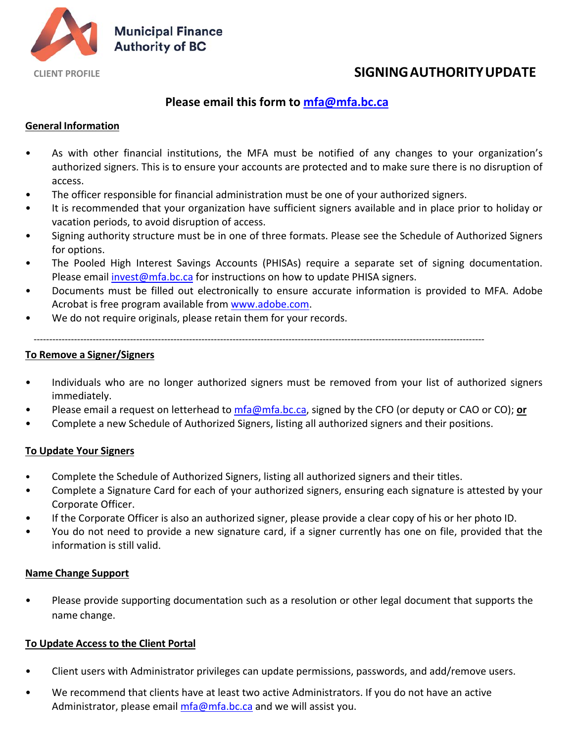

# **CLIENT PROFILE SIGNING AUTHORITYUPDATE**

## **Please email this form to mfa@mfa.bc.ca**

### **General Information**

- As with other financial institutions, the MFA must be notified of any changes to your organization's authorized signers. This is to ensure your accounts are protected and to make sure there is no disruption of access.
- The officer responsible for financial administration must be one of your authorized signers.
- It is recommended that your organization have sufficient signers available and in place prior to holiday or vacation periods, to avoid disruption of access.
- Signing authority structure must be in one of three formats. Please see the Schedule of Authorized Signers for options.
- The Pooled High Interest Savings Accounts (PHISAs) require a separate set of signing documentation. Please email invest@mfa.bc.ca for instructions on how to update PHISA signers.
- Documents must be filled out electronically to ensure accurate information is provided to MFA. Adobe Acrobat is free program available from www.adobe.com.
- We do not require originals, please retain them for your records.

#### **To Remove a Signer/Signers**

- Individuals who are no longer authorized signers must be removed from your list of authorized signers immediately.
- Please email a request on letterhead to mfa@mfa.bc.ca, signed by the CFO (or deputy or CAO or CO); **or**
- Complete a new Schedule of Authorized Signers, listing all authorized signers and their positions.

‐‐‐‐‐‐‐‐‐‐‐‐‐‐‐‐‐‐‐‐‐‐‐‐‐‐‐‐‐‐‐‐‐‐‐‐‐‐‐‐‐‐‐‐‐‐‐‐‐‐‐‐‐‐‐‐‐‐‐‐‐‐‐‐‐‐‐‐‐‐‐‐‐‐‐‐‐‐‐‐‐‐‐‐‐‐‐‐‐‐‐‐‐‐‐‐‐‐‐‐‐‐‐‐‐‐‐‐‐‐‐‐‐‐‐‐‐‐‐‐‐‐‐‐‐‐‐‐‐‐‐‐‐‐‐‐‐‐‐‐‐‐‐‐‐

#### **To Update Your Signers**

- Complete the Schedule of Authorized Signers, listing all authorized signers and their titles.
- Complete a Signature Card for each of your authorized signers, ensuring each signature is attested by your Corporate Officer.
- If the Corporate Officer is also an authorized signer, please provide a clear copy of his or her photo ID.
- You do not need to provide a new signature card, if a signer currently has one on file, provided that the information is still valid.

#### **Name Change Support**

• Please provide supporting documentation such as a resolution or other legal document that supports the name change.

#### **To Update Access to the Client Portal**

- Client users with Administrator privileges can update permissions, passwords, and add/remove users.
- We recommend that clients have at least two active Administrators. If you do not have an active Administrator, please email mfa@mfa.bc.ca and we will assist you.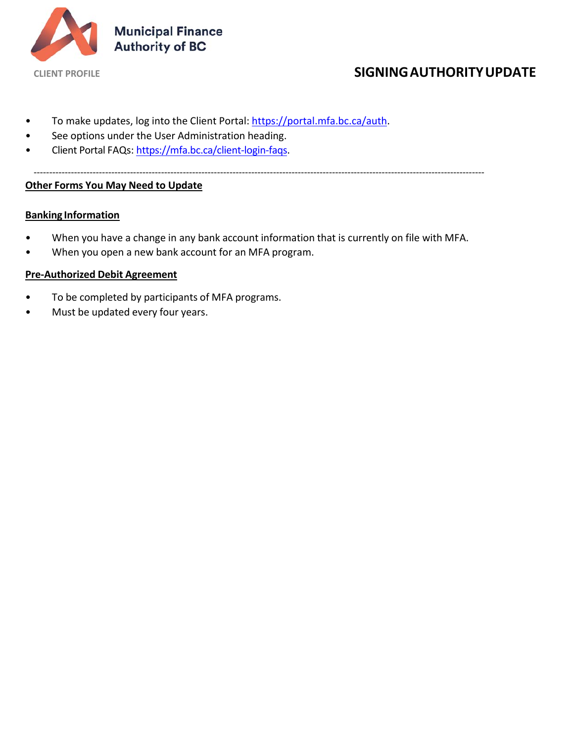

# **CLIENT PROFILE SIGNING AUTHORITYUPDATE**

- To make updates, log into the Client Portal: https://portal.mfa.bc.ca/auth.
- See options under the User Administration heading.
- Client Portal FAQs: https://mfa.bc.ca/client-login-faqs.

‐‐‐‐‐‐‐‐‐‐‐‐‐‐‐‐‐‐‐‐‐‐‐‐‐‐‐‐‐‐‐‐‐‐‐‐‐‐‐‐‐‐‐‐‐‐‐‐‐‐‐‐‐‐‐‐‐‐‐‐‐‐‐‐‐‐‐‐‐‐‐‐‐‐‐‐‐‐‐‐‐‐‐‐‐‐‐‐‐‐‐‐‐‐‐‐‐‐‐‐‐‐‐‐‐‐‐‐‐‐‐‐‐‐‐‐‐‐‐‐‐‐‐‐‐‐‐‐‐‐‐‐‐‐‐‐‐‐‐‐‐‐‐‐‐

## **Other Forms You May Need to Update**

#### **Banking Information**

- When you have a change in any bank account information that is currently on file with MFA.
- When you open a new bank account for an MFA program.

#### **Pre‐Authorized Debit Agreement**

- To be completed by participants of MFA programs.
- Must be updated every four years.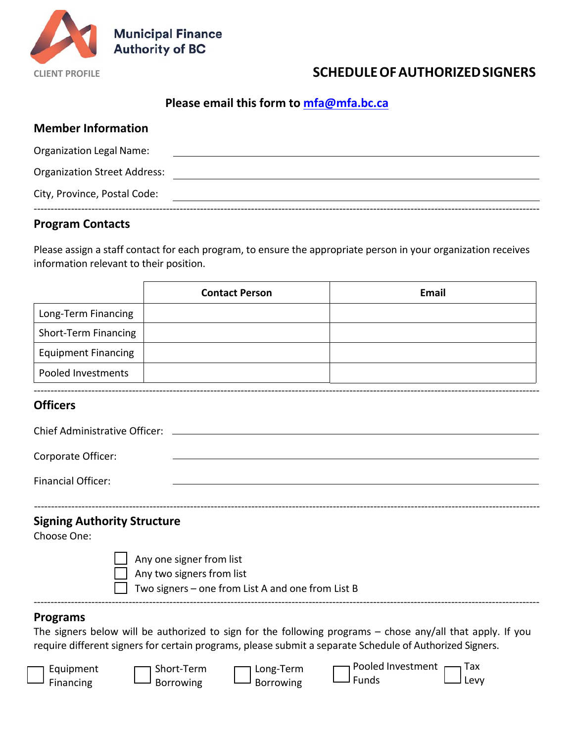

# **CLIENT PROFILE SCHEDULEOF AUTHORIZEDSIGNERS**

## **Please email this form to mfa@mfa.bc.ca**

## **Member Information**

| Organization Legal Name:            |  |
|-------------------------------------|--|
| <b>Organization Street Address:</b> |  |
| City, Province, Postal Code:        |  |
|                                     |  |

## **Program Contacts**

Financing

Borrowing

Please assign a staff contact for each program, to ensure the appropriate person in your organization receives information relevant to their position.

|                                                   | <b>Contact Person</b>                                                                                      | <b>Email</b>                                                                                                                             |
|---------------------------------------------------|------------------------------------------------------------------------------------------------------------|------------------------------------------------------------------------------------------------------------------------------------------|
| Long-Term Financing                               |                                                                                                            |                                                                                                                                          |
| <b>Short-Term Financing</b>                       |                                                                                                            |                                                                                                                                          |
| <b>Equipment Financing</b>                        |                                                                                                            |                                                                                                                                          |
| <b>Pooled Investments</b>                         |                                                                                                            |                                                                                                                                          |
| <b>Officers</b>                                   |                                                                                                            |                                                                                                                                          |
| <b>Chief Administrative Officer:</b>              |                                                                                                            |                                                                                                                                          |
| Corporate Officer:                                |                                                                                                            |                                                                                                                                          |
| <b>Financial Officer:</b>                         |                                                                                                            |                                                                                                                                          |
| <b>Signing Authority Structure</b><br>Choose One: | Any one signer from list<br>Any two signers from list<br>Two signers - one from List A and one from List B |                                                                                                                                          |
| <b>Programs</b>                                   | require different signers for certain programs, please submit a separate Schedule of Authorized Signers.   | The signers below will be authorized to sign for the following programs $-$ chose any/all that apply. If you<br>Pooled Investment<br>Tax |
| Equipment<br>Financing                            | Short-Term<br>Long-Term<br><b>Borrowing</b><br><b>Borrowing</b>                                            | Funds<br>Levy                                                                                                                            |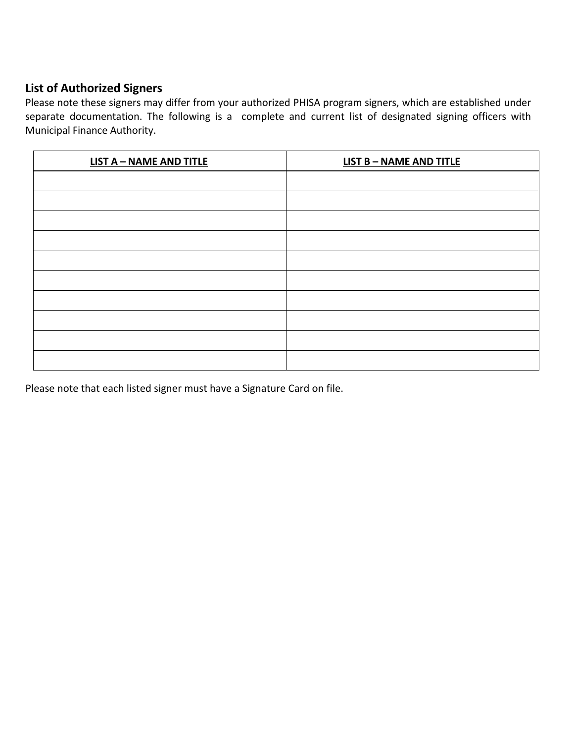## **List of Authorized Signers**

Please note these signers may differ from your authorized PHISA program signers, which are established under separate documentation. The following is a complete and current list of designated signing officers with Municipal Finance Authority.

| <b>LIST A - NAME AND TITLE</b> | <b>LIST B - NAME AND TITLE</b> |
|--------------------------------|--------------------------------|
|                                |                                |
|                                |                                |
|                                |                                |
|                                |                                |
|                                |                                |
|                                |                                |
|                                |                                |
|                                |                                |
|                                |                                |
|                                |                                |

Please note that each listed signer must have a Signature Card on file.